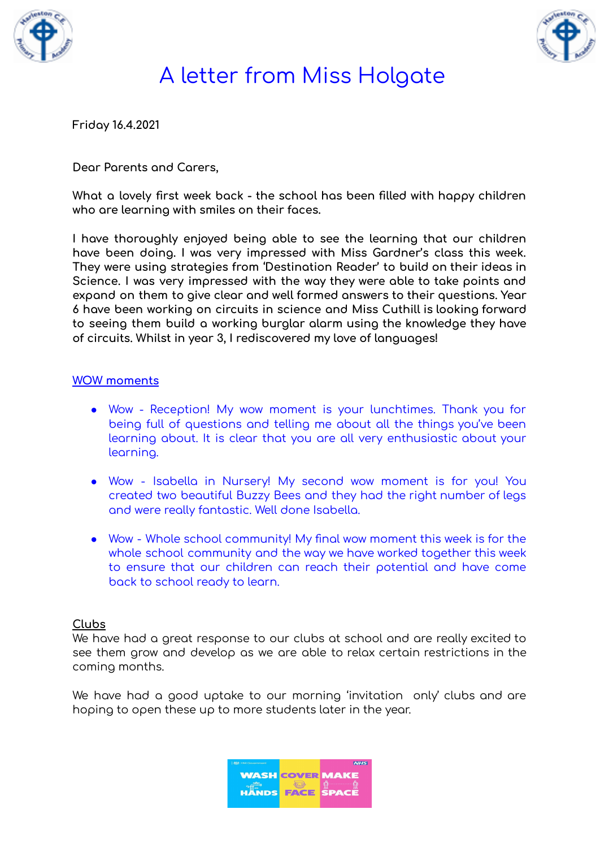



**Friday 16.4.2021**

**Dear Parents and Carers,**

**What a lovely first week back - the school has been filled with happy children who are learning with smiles on their faces.**

**I have thoroughly enjoyed being able to see the learning that our children have been doing. I was very impressed with Miss Gardner's class this week. They were using strategies from 'Destination Reader' to build on their ideas in Science. I was very impressed with the way they were able to take points and expand on them to give clear and well formed answers to their questions. Year 6 have been working on circuits in science and Miss Cuthill is looking forward to seeing them build a working burglar alarm using the knowledge they have of circuits. Whilst in year 3, I rediscovered my love of languages!**

#### **WOW moments**

- Wow Reception! My wow moment is your lunchtimes. Thank you for being full of questions and telling me about all the things you've been learning about. It is clear that you are all very enthusiastic about your learning.
- Wow Isabella in Nursery! My second wow moment is for you! You created two beautiful Buzzy Bees and they had the right number of legs and were really fantastic. Well done Isabella.
- Wow Whole school community! My final wow moment this week is for the whole school community and the way we have worked together this week to ensure that our children can reach their potential and have come back to school ready to learn.

#### **Clubs**

We have had a great response to our clubs at school and are really excited to see them grow and develop as we are able to relax certain restrictions in the coming months.

We have had a good uptake to our morning 'invitation only' clubs and are hoping to open these up to more students later in the year.

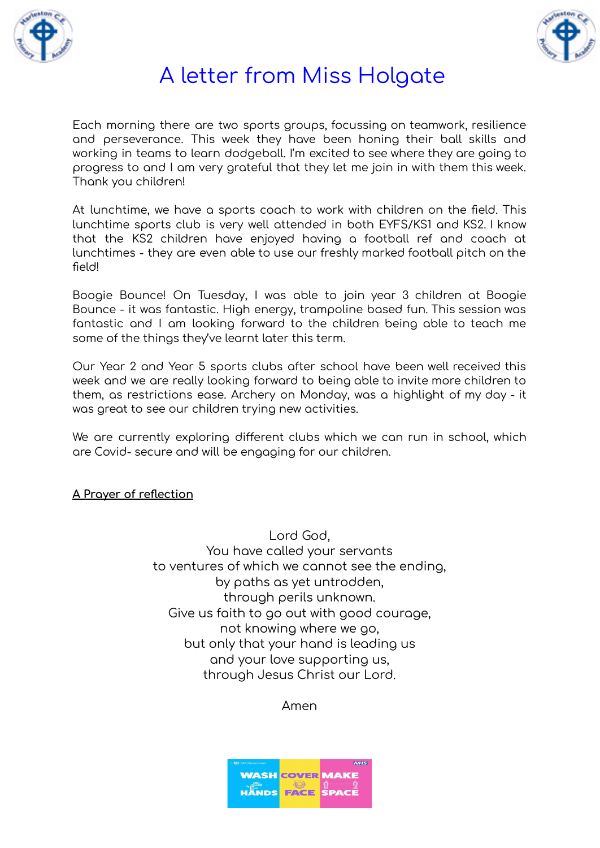



Each morning there are two sports groups, focussing on teamwork, resilience and perseverance. This week they have been honing their ball skills and working in teams to learn dodgeball. I'm excited to see where they are going to progress to and I am very grateful that they let me join in with them this week. Thank you children!

At lunchtime, we have a sports coach to work with children on the field. This lunchtime sports club is very well attended in both EYFS/KS1 and KS2. I know that the KS2 children have enjoyed having a football ref and coach at lunchtimes - they are even able to use our freshly marked football pitch on the field!

Boogie Bounce! On Tuesday, I was able to join year 3 children at Boogie Bounce - it was fantastic. High energy, trampoline based fun. This session was fantastic and I am looking forward to the children being able to teach me some of the things they've learnt later this term.

Our Year 2 and Year 5 sports clubs after school have been well received this week and we are really looking forward to being able to invite more children to them, as restrictions ease. Archery on Monday, was a highlight of my day - it was great to see our children trying new activities.

We are currently exploring different clubs which we can run in school, which are Covid- secure and will be engaging for our children.

### **A Prayer of reflection**

Lord God, You have called your servants to ventures of which we cannot see the ending, by paths as yet untrodden, through perils unknown. Give us faith to go out with good courage, not knowing where we go, but only that your hand is leading us and your love supporting us, through Jesus Christ our Lord.

Amen

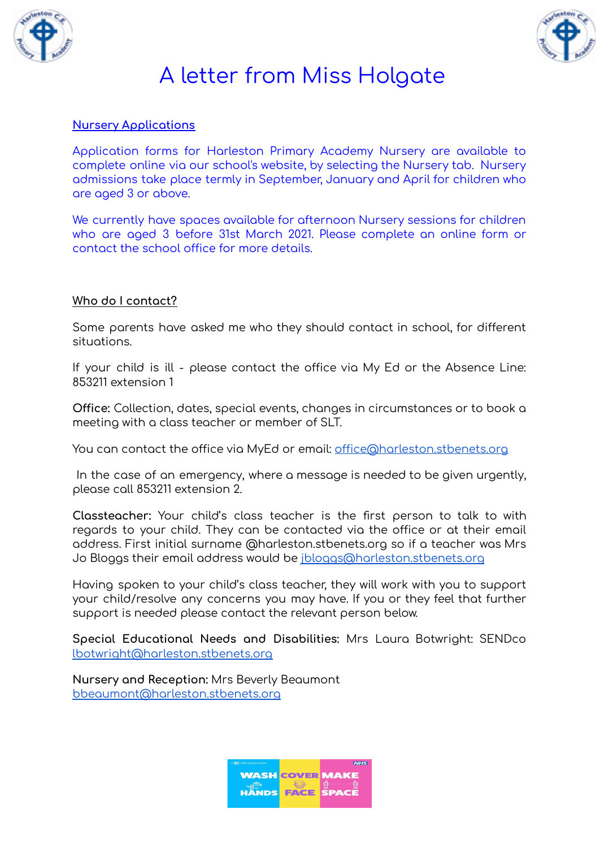



### **Nursery Applications**

Application forms for Harleston Primary Academy Nursery are available to complete online via our school's website, by selecting the Nursery tab. Nursery admissions take place termly in September, January and April for children who are aged 3 or above.

We currently have spaces available for afternoon Nursery sessions for children who are aged 3 before 31st March 2021. Please complete an online form or contact the school office for more details.

#### **Who do I contact?**

Some parents have asked me who they should contact in school, for different situations.

If your child is ill - please contact the office via My Ed or the Absence Line: 853211 extension 1

**Office:** Collection, dates, special events, changes in circumstances or to book a meeting with a class teacher or member of SLT.

You can contact the office via MyEd or email: [office@harleston.stbenets.org](mailto:office@harleston.stbenets.org)

In the case of an emergency, where a message is needed to be given urgently, please call 853211 extension 2.

**Classteacher:** Your child's class teacher is the first person to talk to with regards to your child. They can be contacted via the office or at their email address. First initial surname @harleston.stbenets.org so if a teacher was Mrs Jo Bloggs their email address would be [jbloggs@harleston.stbenets.org](mailto:jbloggs@harleston.stbenets.org)

Having spoken to your child's class teacher, they will work with you to support your child/resolve any concerns you may have. If you or they feel that further support is needed please contact the relevant person below.

**Special Educational Needs and Disabilities:** Mrs Laura Botwright: SENDco [lbotwright@harleston.stbenets.org](mailto:lbotwright@harleston.stbenets.org)

**Nursery and Reception:** Mrs Beverly Beaumont [bbeaumont@harleston.stbenets.org](mailto:bbeaumont@harleston.stbenets.org)

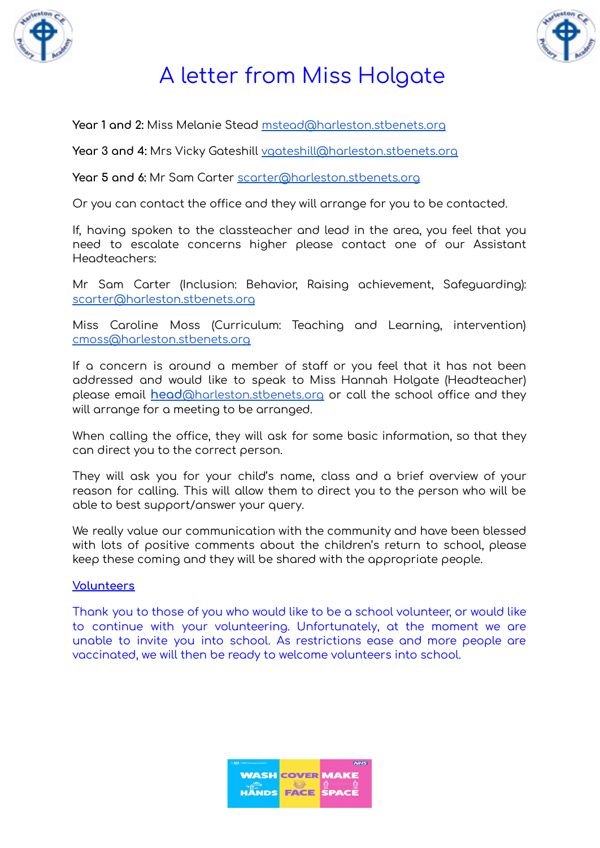



**Year 1 and 2:** Miss Melanie Stead [mstead@harleston.stbenets.org](mailto:mstead@harleston.stbenets.org)

**Year 3 and 4:** Mrs Vicky Gateshill [vgateshill@harleston.stbenets.org](mailto:vgateshill@harleston.stbenets.org)

**Year 5 and 6:** Mr Sam Carter [scarter@harleston.stbenets.org](mailto:scarter@harleston.stbenets.org)

Or you can contact the office and they will arrange for you to be contacted.

If, having spoken to the classteacher and lead in the area, you feel that you need to escalate concerns higher please contact one of our Assistant Headteachers:

Mr Sam Carter (Inclusion: Behavior, Raising achievement, Safeguarding): [scarter@harleston.stbenets.org](mailto:scarter@harleston.stbenets.org)

Miss Caroline Moss (Curriculum: Teaching and Learning, intervention) [cmoss@harleston.stbenets.org](mailto:cmoss@harleston.stbenets.org)

If a concern is around a member of staff or you feel that it has not been addressed and would like to speak to Miss Hannah Holgate (Headteacher) please email **head**[@harleston.stbenets.org](mailto:head@harleston.stbenets.org) or call the school office and they will arrange for a meeting to be arranged.

When calling the office, they will ask for some basic information, so that they can direct you to the correct person.

They will ask you for your child's name, class and a brief overview of your reason for calling. This will allow them to direct you to the person who will be able to best support/answer your query.

We really value our communication with the community and have been blessed with lots of positive comments about the children's return to school, please keep these coming and they will be shared with the appropriate people.

#### **Volunteers**

Thank you to those of you who would like to be a school volunteer, or would like to continue with your volunteering. Unfortunately, at the moment we are unable to invite you into school. As restrictions ease and more people are vaccinated, we will then be ready to welcome volunteers into school.